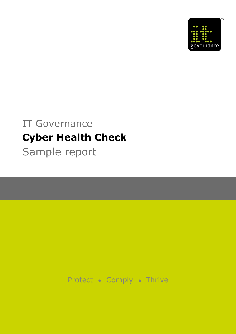

# IT Governance **Cyber Health Check** Sample report

Protect • Comply • Thrive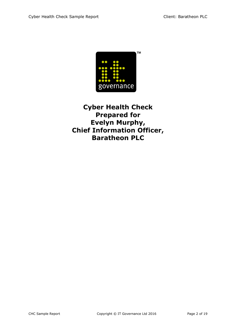

**Cyber Health Check Prepared for Evelyn Murphy, Chief Information Officer, Baratheon PLC**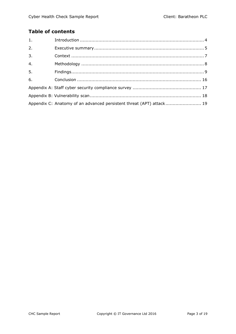# **Table of contents**

| 1.               |                                                                      |  |
|------------------|----------------------------------------------------------------------|--|
| 2.               |                                                                      |  |
| $\overline{3}$ . |                                                                      |  |
| $\overline{4}$ . |                                                                      |  |
| 5 <sub>1</sub>   |                                                                      |  |
| 6.               |                                                                      |  |
|                  |                                                                      |  |
|                  |                                                                      |  |
|                  | Appendix C: Anatomy of an advanced persistent threat (APT) attack 19 |  |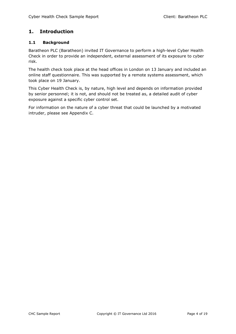# <span id="page-3-0"></span>**1. Introduction**

#### **1.1 Background**

Baratheon PLC (Baratheon) invited IT Governance to perform a high-level Cyber Health Check in order to provide an independent, external assessment of its exposure to cyber risk.

The health check took place at the head offices in London on 13 January and included an online staff questionnaire. This was supported by a remote systems assessment, which took place on 19 January.

This Cyber Health Check is, by nature, high level and depends on information provided by senior personnel; it is not, and should not be treated as, a detailed audit of cyber exposure against a specific cyber control set.

For information on the nature of a cyber threat that could be launched by a motivated intruder, please see Appendix C.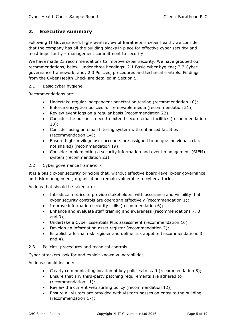## <span id="page-4-0"></span>**2. Executive summary**

Following IT Governance's high-level review of Baratheon's cyber health, we consider that the company has all the building blocks in place for effective cyber security and – most importantly – management commitment to security.

We have made 23 recommendations to improve cyber security. We have grouped our recommendations, below, under three headings: 2.1 Basic cyber hygiene; 2.2 Cyber governance framework, and; 2.3 Policies, procedures and technical controls. Findings from the Cyber Health Check are detailed in Section 5.

#### 2.1 Basic cyber hygiene

Recommendations are:

- Undertake regular independent penetration testing (recommendation 10);
- Enforce encryption policies for removable media (recommendation 21);
- Review event logs on a regular basis (recommendation 22).
- Consider the business need to extend secure email facilities (recommendation 13);
- Consider using an email filtering system with enhanced facilities (recommendation 14);
- Ensure high-privilege user accounts are assigned to unique individuals (i.e. not shared) (recommendation 19);
- Consider implementing a security information and event management (SIEM) system (recommendation 23).

#### 2.2 Cyber governance framework

It is a basic cyber security principle that, without effective board-level cyber governance and risk management, organisations remain vulnerable to cyber attack.

Actions that should be taken are:

- Introduce metrics to provide stakeholders with assurance and visibility that cyber security controls are operating effectively (recommendation 1);
- Improve information security skills (recommendation 6);
- Enhance and evaluate staff training and awareness (recommendations 7, 8 and 9);
- Undertake a Cyber Essentials Plus assessment (recommendation 16).
- Develop an information asset register (recommendation 2);
- Establish a formal risk register and define risk appetite (recommendations 3 and 4).
- 2.3 Policies, procedures and technical controls

Cyber attackers look for and exploit known vulnerabilities.

Actions should include:

- Clearly communicating location of key policies to staff (recommendation 5);
- Ensure that any third-party patching requirements are adhered to (recommendation 11);
- Review the current web surfing policy (recommendation 12);
- Ensure all visitors are provided with visitor's passes on entry to the building (recommendation 17);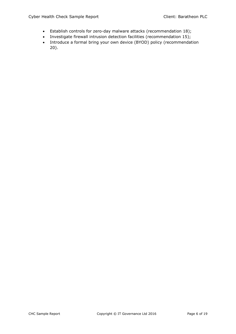- Establish controls for zero-day malware attacks (recommendation 18);
- Investigate firewall intrusion detection facilities (recommendation 15);
- Introduce a formal bring your own device (BYOD) policy (recommendation 20).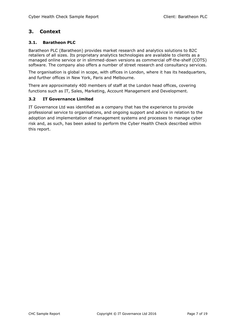## <span id="page-6-0"></span>**3. Context**

#### **3.1. Baratheon PLC**

Baratheon PLC (Baratheon) provides market research and analytics solutions to B2C retailers of all sizes. Its proprietary analytics technologies are available to clients as a managed online service or in slimmed-down versions as commercial off-the-shelf (COTS) software. The company also offers a number of street research and consultancy services.

The organisation is global in scope, with offices in London, where it has its headquarters, and further offices in New York, Paris and Melbourne.

There are approximately 400 members of staff at the London head offices, covering functions such as IT, Sales, Marketing, Account Management and Development.

#### **3.2 IT Governance Limited**

IT Governance Ltd was identified as a company that has the experience to provide professional service to organisations, and ongoing support and advice in relation to the adoption and implementation of management systems and processes to manage cyber risk and, as such, has been asked to perform the Cyber Health Check described within this report.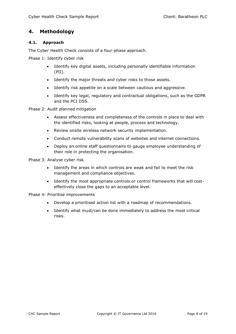### <span id="page-7-0"></span>**4. Methodology**

#### **4.1. Approach**

The Cyber Health Check consists of a four-phase approach.

Phase 1: Identify cyber risk

- Identify key digital assets, including personally identifiable information (PII).
- Identify the major threats and cyber risks to those assets.
- Identify risk appetite on a scale between cautious and aggressive.
- Identify key legal, regulatory and contractual obligations, such as the GDPR and the PCI DSS.

Phase 2: Audit planned mitigation

- Assess effectiveness and completeness of the controls in place to deal with the identified risks, looking at people, process and technology.
- Review onsite wireless network security implementation.
- Conduct remote vulnerability scans of websites and internet connections.
- Deploy an online staff questionnaire to gauge employee understanding of their role in protecting the organisation.

Phase 3: Analyse cyber risk

- Identify the areas in which controls are weak and fail to meet the risk management and compliance objectives.
- Identify the most appropriate controls or control frameworks that will costeffectively close the gaps to an acceptable level.

Phase 4: Prioritise improvements

- Develop a prioritised action list with a roadmap of recommendations.
- Identify what must/can be done immediately to address the most critical risks.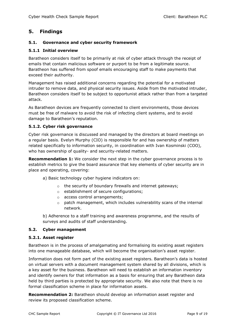## <span id="page-8-0"></span>**5. Findings**

#### **5.1. Governance and cyber security framework**

#### **5.1.1 Initial overview**

Baratheon considers itself to be primarily at risk of cyber attack through the receipt of emails that contain malicious software or purport to be from a legitimate source. Baratheon has suffered from spoof emails encouraging staff to make payments that exceed their authority.

Management has raised additional concerns regarding the potential for a motivated intruder to remove data, and physical security issues. Aside from the motivated intruder, Baratheon considers itself to be subject to opportunist attack rather than from a targeted attack.

As Baratheon devices are frequently connected to client environments, those devices must be free of malware to avoid the risk of infecting client systems, and to avoid damage to Baratheon's reputation.

#### **5.1.2. Cyber risk governance**

Cyber risk governance is discussed and managed by the directors at board meetings on a regular basis. Evelyn Murphy (CIO) is responsible for and has ownership of matters related specifically to information security, in coordination with Ivan Kosminski (COO), who has ownership of quality- and security-related matters.

**Recommendation 1:** We consider the next step in the cyber governance process is to establish metrics to give the board assurance that key elements of cyber security are in place and operating, covering:

- a) Basic technology cyber hygiene indicators on:
	- o the security of boundary firewalls and internet gateways;
	- o establishment of secure configurations;
	- o access control arrangements;
	- $\circ$  patch management, which includes vulnerability scans of the internal network.

b) Adherence to a staff training and awareness programme, and the results of surveys and audits of staff understanding.

#### **5.2. Cyber management**

#### **5.2.1. Asset register**

Baratheon is in the process of amalgamating and formalising its existing asset registers into one manageable database, which will become the organisation's asset register.

Information does not form part of the existing asset registers. Baratheon's data is hosted on virtual servers with a document management system shared by all divisions, which is a key asset for the business. Baratheon will need to establish an information inventory and identify owners for that information as a basis for ensuring that any Baratheon data held by third parties is protected by appropriate security. We also note that there is no formal classification scheme in place for information assets.

**Recommendation 2:** Baratheon should develop an information asset register and review its proposed classification scheme.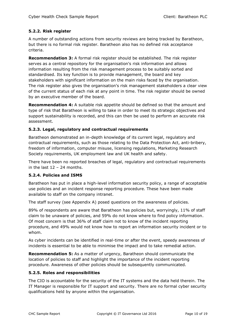#### **5.2.2. Risk register**

A number of outstanding actions from security reviews are being tracked by Baratheon, but there is no formal risk register. Baratheon also has no defined risk acceptance criteria.

**Recommendation 3:** A formal risk register should be established. The risk register serves as a central repository for the organisation's risk information and allows information resulting from the risk management process to be suitably sorted and standardised. Its key function is to provide management, the board and key stakeholders with significant information on the main risks faced by the organisation. The risk register also gives the organisation's risk management stakeholders a clear view of the current status of each risk at any point in time. The risk register should be owned by an executive member of the board.

**Recommendation 4:** A suitable risk appetite should be defined so that the amount and type of risk that Baratheon is willing to take in order to meet its strategic objectives and support sustainability is recorded, and this can then be used to perform an accurate risk assessment.

#### **5.2.3. Legal, regulatory and contractual requirements**

Baratheon demonstrated an in-depth knowledge of its current legal, regulatory and contractual requirements, such as those relating to the Data Protection Act, anti-bribery, freedom of information, computer misuse, licensing regulations, Marketing Research Society requirements, UK employment law and UK health and safety.

There have been no reported breaches of legal, regulatory and contractual requirements in the last  $12 - 24$  months.

#### **5.2.4. Policies and ISMS**

Baratheon has put in place a high-level information security policy, a range of acceptable use policies and an incident response reporting procedure. These have been made available to staff on the company intranet.

The staff survey (see Appendix A) posed questions on the awareness of policies.

89% of respondents are aware that Baratheon has policies but, worryingly, 11% of staff claim to be unaware of policies, and 59% do not know where to find policy information. Of most concern is that 36% of staff claim not to know of the incident reporting procedure, and 49% would not know how to report an information security incident or to whom.

As cyber incidents can be identified in real-time or after the event, speedy awareness of incidents is essential to be able to minimise the impact and to take remedial action.

**Recommendation 5:** As a matter of urgency, Baratheon should communicate the location of policies to staff and highlight the importance of the incident reporting procedure. Awareness of other policies should be subsequently communicated.

#### **5.2.5. Roles and responsibilities**

The CIO is accountable for the security of the IT systems and the data held therein. The IT Manager is responsible for IT support and security. There are no formal cyber security qualifications held by anyone within the organisation.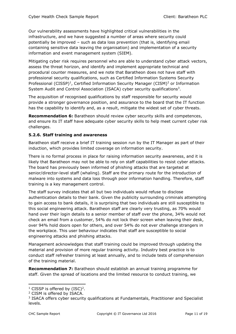Our vulnerability assessments have highlighted critical vulnerabilities in the infrastructure, and we have suggested a number of areas where security could potentially be improved – such as data loss prevention (that is, identifying email containing sensitive data leaving the organisation) and implementation of a security information and event management system (SIEM).

Mitigating cyber risk requires personnel who are able to understand cyber attack vectors, assess the threat horizon, and identify and implement appropriate technical and procedural counter measures, and we note that Baratheon does not have staff with professional security qualifications, such as Certified Information Systems Security Professional (CISSP)<sup>1</sup>, Certified Information Security Manager (CISM)<sup>2</sup> or Information System Audit and Control Association (ISACA) cyber security qualifications<sup>3</sup>.

The acquisition of recognised qualifications by staff responsible for security would provide a stronger governance position, and assurance to the board that the IT function has the capability to identify and, as a result, mitigate the widest set of cyber threats.

**Recommendation 6:** Baratheon should review cyber security skills and competences, and ensure its IT staff have adequate cyber security skills to help meet current cyber risk challenges.

#### **5.2.6. Staff training and awareness**

Baratheon staff receive a brief IT training session run by the IT Manager as part of their induction, which provides limited coverage on information security.

There is no formal process in place for raising information security awareness, and it is likely that Baratheon may not be able to rely on staff capabilities to resist cyber attacks. The board has previously been informed of phishing attacks that are targeted at senior/director-level staff (whaling). Staff are the primary route for the introduction of malware into systems and data loss through poor information handling. Therefore, staff training is a key management control.

The staff survey indicates that all but two individuals would refuse to disclose authentication details to their bank. Given the publicity surrounding criminals attempting to gain access to bank details, it is surprising that two individuals are still susceptible to this social engineering attack. Baratheon staff are clearly very trusting, as 70% would hand over their login details to a senior member of staff over the phone, 34% would not check an email from a customer, 54% do not lock their screen when leaving their desk, over 94% hold doors open for others, and over 54% do not ever challenge strangers in the workplace. This user behaviour indicates that staff are susceptible to social engineering attacks and phishing attacks.

Management acknowledges that staff training could be improved through updating the material and provision of more regular training activity. Industry best practice is to conduct staff refresher training at least annually, and to include tests of comprehension of the training material.

**Recommendation 7:** Baratheon should establish an annual training programme for staff. Given the spread of locations and the limited resource to conduct training, we

-

<sup>&</sup>lt;sup>1</sup> CISSP is offered by  $(ISC)^2$ .

<sup>2</sup> CISM is offered by ISACA.

<sup>&</sup>lt;sup>3</sup> ISACA offers cyber security qualifications at Fundamentals, Practitioner and Specialist levels.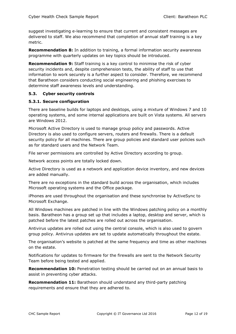suggest investigating e-learning to ensure that current and consistent messages are delivered to staff. We also recommend that completion of annual staff training is a key metric.

**Recommendation 8:** In addition to training, a formal information security awareness programme with quarterly updates on key topics should be introduced.

**Recommendation 9:** Staff training is a key control to minimise the risk of cyber security incidents and, despite comprehension tests, the ability of staff to use that information to work securely is a further aspect to consider. Therefore, we recommend that Baratheon considers conducting social engineering and phishing exercises to determine staff awareness levels and understanding.

#### **5.3. Cyber security controls**

#### **5.3.1. Secure configuration**

There are baseline builds for laptops and desktops, using a mixture of Windows 7 and 10 operating systems, and some internal applications are built on Vista systems. All servers are Windows 2012.

Microsoft Active Directory is used to manage group policy and passwords. Active Directory is also used to configure servers, routers and firewalls. There is a default security policy for all machines. There are group policies and standard user policies such as for standard users and the Network Team.

File server permissions are controlled by Active Directory according to group.

Network access points are totally locked down.

Active Directory is used as a network and application device inventory, and new devices are added manually.

There are no exceptions in the standard build across the organisation, which includes Microsoft operating systems and the Office package.

iPhones are used throughout the organisation and these synchronise by ActiveSync to Microsoft Exchange.

All Windows machines are patched in line with the Windows patching policy on a monthly basis. Baratheon has a group set up that includes a laptop, desktop and server, which is patched before the latest patches are rolled out across the organisation.

Antivirus updates are rolled out using the central console, which is also used to govern group policy. Antivirus updates are set to update automatically throughout the estate.

The organisation's website is patched at the same frequency and time as other machines on the estate.

Notifications for updates to firmware for the firewalls are sent to the Network Security Team before being tested and applied.

**Recommendation 10:** Penetration testing should be carried out on an annual basis to assist in preventing cyber attacks.

**Recommendation 11:** Baratheon should understand any third-party patching requirements and ensure that they are adhered to.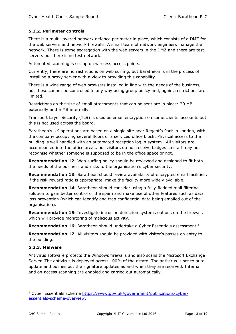#### **5.3.2. Perimeter controls**

There is a multi-layered network defence perimeter in place, which consists of a DMZ for the web servers and network firewalls. A small team of network engineers manage the network. There is some segregation with the web servers in the DMZ and there are test servers but there is no test network.

Automated scanning is set up on wireless access points.

Currently, there are no restrictions on web surfing, but Baratheon is in the process of installing a proxy server with a view to providing this capability.

There is a wide range of web browsers installed in line with the needs of the business, but these cannot be controlled in any way using group policy and, again, restrictions are limited.

Restrictions on the size of email attachments that can be sent are in place: 20 MB externally and 5 MB internally.

Transport Layer Security (TLS) is used as email encryption on some clients' accounts but this is not used across the board.

Baratheon's UK operations are based on a single site near Regent's Park in London, with the company occupying several floors of a serviced office block. Physical access to the building is well handled with an automated reception log in system. All visitors are accompanied into the office areas, but visitors do not receive badges so staff may not recognise whether someone is supposed to be in the office space or not.

**Recommendation 12:** Web surfing policy should be reviewed and designed to fit both the needs of the business and risks to the organisation's cyber security.

**Recommendation 13:** Baratheon should review availability of encrypted email facilities; if the risk-reward ratio is appropriate, make the facility more widely available.

**Recommendation 14:** Baratheon should consider using a fully-fledged mail filtering solution to gain better control of the spam and make use of other features such as data loss prevention (which can identify and trap confidential data being emailed out of the organisation).

**Recommendation 15:** Investigate intrusion detection systems options on the firewall, which will provide monitoring of malicious activity.

**Recommendation 16:** Baratheon should undertake a Cyber Essentials assessment. 4

**Recommendation 17:** All visitors should be provided with visitor's passes on entry to the building.

#### **5.3.3. Malware**

Antivirus software protects the Windows firewalls and also scans the Microsoft Exchange Server. The antivirus is deployed across 100% of the estate. The antivirus is set to autoupdate and pushes out the signature updates as and when they are received. Internal and on-access scanning are enabled and carried out automatically.

-

<sup>4</sup> Cyber Essentials scheme [https://www.gov.uk/government/publications/cyber](https://www.gov.uk/government/publications/cyber-essentials-scheme-overview)[essentials-scheme-overview.](https://www.gov.uk/government/publications/cyber-essentials-scheme-overview)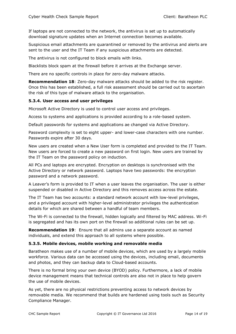If laptops are not connected to the network, the antivirus is set up to automatically download signature updates when an Internet connection becomes available.

Suspicious email attachments are quarantined or removed by the antivirus and alerts are sent to the user and the IT Team if any suspicious attachments are detected.

The antivirus is not configured to block emails with links.

Blacklists block spam at the firewall before it arrives at the Exchange server.

There are no specific controls in place for zero-day malware attacks.

**Recommendation 18**: Zero-day malware attacks should be added to the risk register. Once this has been established, a full risk assessment should be carried out to ascertain the risk of this type of malware attack to the organisation.

#### **5.3.4. User access and user privileges**

Microsoft Active Directory is used to control user access and privileges.

Access to systems and applications is provided according to a role-based system.

Default passwords for systems and applications ae changed via Active Directory.

Password complexity is set to eight upper- and lower-case characters with one number. Passwords expire after 30 days.

New users are created when a New User form is completed and provided to the IT Team. New users are forced to create a new password on first login. New users are trained by the IT Team on the password policy on induction.

All PCs and laptops are encrypted. Encryption on desktops is synchronised with the Active Directory or network password. Laptops have two passwords: the encryption password and a network password.

A Leaver's form is provided to IT when a user leaves the organisation. The user is either suspended or disabled in Active Directory and this removes access across the estate.

The IT Team has two accounts: a standard network account with low-level privileges, and a privileged account with higher-level administrator privileges the authentication details for which are shared between a handful of team members.

The Wi-Fi is connected to the firewall, hidden logically and filtered by MAC address. Wi-Fi is segregated and has its own port on the firewall so additional rules can be set up.

**Recommendation 19**: Ensure that all admins use a separate account as named individuals, and extend this approach to all systems where possible.

#### **5.3.5. Mobile devices, mobile working and removable media**

Baratheon makes use of a number of mobile devices, which are used by a largely mobile workforce. Various data can be accessed using the devices, including email, documents and photos, and they can backup data to Cloud-based accounts.

There is no formal bring your own device (BYOD) policy. Furthermore, a lack of mobile device management means that technical controls are also not in place to help govern the use of mobile devices.

As yet, there are no physical restrictions preventing access to network devices by removable media. We recommend that builds are hardened using tools such as Security Compliance Manager.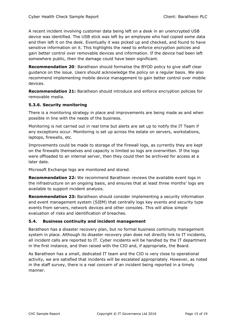A recent incident involving customer data being left on a desk in an unencrypted USB device was identified. The USB stick was left by an employee who had copied some data and then left it on the desk. Eventually it was picked up and checked, and found to have sensitive information on it. This highlights the need to enforce encryption policies and gain better control over removable devices and information. If the device had been left somewhere public, then the damage could have been significant.

**Recommendation 20**: Baratheon should formalise the BYOD policy to give staff clear guidance on the issue. Users should acknowledge the policy on a regular basis. We also recommend implementing mobile device management to gain better control over mobile devices.

**Recommendation 21:** Baratheon should introduce and enforce encryption policies for removable media.

#### **5.3.6. Security monitoring**

There is a monitoring strategy in place and improvements are being made as and when possible in line with the needs of the business.

Monitoring is not carried out in real time but alerts are set up to notify the IT Team if any exceptions occur. Monitoring is set up across the estate on servers, workstations, laptops, firewalls, etc.

Improvements could be made to storage of the firewall logs, as currently they are kept on the firewalls themselves and capacity is limited so logs are overwritten. If the logs were offloaded to an internal server, then they could then be archived for access at a later date.

Microsoft Exchange logs are monitored and stored.

**Recommendation 22:** We recommend Baratheon reviews the available event logs in the infrastructure on an ongoing basis, and ensures that at least three months' logs are available to support incident analysis.

**Recommendation 23:** Baratheon should consider implementing a security information and event management system (SIEM) that centrally logs key events and security type events from servers, network devices and other consoles. This will allow simple evaluation of risks and identification of breaches.

#### **5.4. Business continuity and incident management**

Baratheon has a disaster recovery plan, but no formal business continuity management system in place. Although its disaster recovery plan does not directly link to IT incidents, all incident calls are reported to IT. Cyber incidents will be handled by the IT department in the first instance, and then raised with the CIO and, if appropriate, the Board.

As Baratheon has a small, dedicated IT team and the CIO is very close to operational activity, we are satisfied that incidents will be escalated appropriately. However, as noted in the staff survey, there is a real concern of an incident being reported in a timely manner.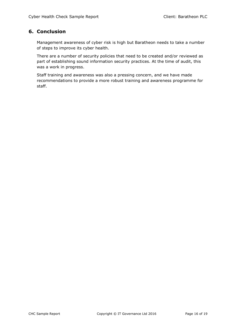# <span id="page-15-0"></span>**6. Conclusion**

Management awareness of cyber risk is high but Baratheon needs to take a number of steps to improve its cyber health.

There are a number of security policies that need to be created and/or reviewed as part of establishing sound information security practices. At the time of audit, this was a work in progress.

Staff training and awareness was also a pressing concern, and we have made recommendations to provide a more robust training and awareness programme for staff.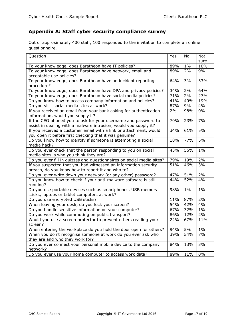# <span id="page-16-0"></span>**Appendix A: Staff cyber security compliance survey**

Out of approximately 400 staff, 100 responded to the invitation to complete an online questionnaire.

| Question                                                              | Yes | No    | <b>Not</b> |  |
|-----------------------------------------------------------------------|-----|-------|------------|--|
|                                                                       |     |       | sure       |  |
| To your knowledge, does Baratheon have IT policies?                   | 89% | $1\%$ | 10%        |  |
| To your knowledge, does Baratheon have network, email and             | 89% | 2%    | 9%         |  |
| acceptable use policies?                                              |     |       |            |  |
| To your knowledge, does Baratheon have an incident reporting          | 64% | 3%    | 33%        |  |
| procedure?                                                            |     |       |            |  |
| To your knowledge, does Baratheon have DPA and privacy policies?      | 34% | 2%    | 64%        |  |
| To your knowledge, does Baratheon have social media policies?         | 71% | 2%    | 27%        |  |
| Do you know how to access company information and policies?           | 41% | 40%   | 19%        |  |
| Do you visit social media sites at work?                              | 87% | 9%    | 4%         |  |
| If you received an email from your bank asking for authentication     | 2%  | 98%   | $0\%$      |  |
| information, would you supply it?                                     |     |       |            |  |
| If the CEO phoned you to ask for your username and password to        | 70% | 23%   | 7%         |  |
| assist in dealing with a malware intrusion, would you supply it?      |     |       |            |  |
| If you received a customer email with a link or attachment, would     | 34% | 61%   | 5%         |  |
| you open it before first checking that it was genuine?                |     |       |            |  |
| Do you know how to identify if someone is attempting a social         | 18% | 77%   | 5%         |  |
| media hack?                                                           |     |       |            |  |
| Do you ever check that the person responding to you on social         | 43% | 56%   | $1\%$      |  |
| media sites is who you think they are?                                |     |       |            |  |
| Do you ever fill in quizzes and questionnaires on social media sites? | 79% | 19%   | 2%         |  |
| If you suspected that you had witnessed an information security       | 51% | 46%   | 3%         |  |
| breach, do you know how to report it and who to?                      |     |       |            |  |
| Do you ever write down your network (or any other) password?          | 47% | 51%   | 2%         |  |
| Do you know how to check if your anti-malware software is still       | 44% | 52%   | 4%         |  |
| running?                                                              |     |       |            |  |
| Do you use portable devices such as smartphones, USB memory           | 98% | $1\%$ | $1\%$      |  |
| sticks, laptops or tablet computers at work?                          |     |       |            |  |
| Do you use encrypted USB sticks?                                      | 11% | 87%   | 2%         |  |
| When leaving your desk, do you lock your screen?                      | 54% | 42%   | 4%         |  |
| Do you handle sensitive information on your computer?                 | 67% | 32%   | $1\%$      |  |
| Do you work while commuting on public transport?                      | 86% | 12%   | 2%         |  |
| Would you use a screen protector to prevent others reading your       | 22% | 67%   | 11%        |  |
| screen?                                                               |     |       |            |  |
| When entering the workplace do you hold the door open for others?     | 94% | 5%    | $1\%$      |  |
| When you don't recognise someone at work do you ever ask who          | 39% | 54%   | 7%         |  |
| they are and who they work for?                                       |     |       |            |  |
| Do you ever connect your personal mobile device to the company        | 84% | 13%   | 3%         |  |
| network?                                                              |     |       |            |  |
| Do you ever use your home computer to access work data?               | 89% | 11%   | $0\%$      |  |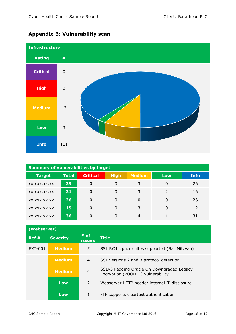

# <span id="page-17-0"></span>**Appendix B: Vulnerability scan**

| <b>Summary of vulnerabilities by target</b> |              |                 |             |               |               |             |
|---------------------------------------------|--------------|-----------------|-------------|---------------|---------------|-------------|
| <b>Target</b>                               | <b>Total</b> | <b>Critical</b> | <b>High</b> | <b>Medium</b> | Low           | <b>Info</b> |
| XX.XXX.XX.XX                                | 29           | 0               | 0           | 3             |               | 26          |
| XX.XXX.XX.XX                                | 21           | 0               | $\Omega$    | 3             | $\mathcal{L}$ | 16          |
| XX.XXX.XX.XX                                | 26           | 0               | 0           | $\Omega$      |               | 26          |
| XX.XXX.XX.XX                                | 15           | 0               | 0           | 3             | 0             | 12          |
| XX.XXX.XX.XX                                | 36           | 0               | 0           | 4             |               | 31          |

| (Webserver) |                 |                       |                                                                                |  |
|-------------|-----------------|-----------------------|--------------------------------------------------------------------------------|--|
| Ref#        | <b>Severity</b> | # of<br><b>issues</b> | <b>Title</b>                                                                   |  |
| EXT-001     | <b>Medium</b>   | 5.                    | SSL RC4 cipher suites supported (Bar Mitzvah)                                  |  |
|             | <b>Medium</b>   | $\overline{4}$        | SSL versions 2 and 3 protocol detection                                        |  |
|             | <b>Medium</b>   | $\overline{4}$        | SSLv3 Padding Oracle On Downgraded Legacy<br>Encryption (POODLE) vulnerability |  |
|             | Low             | $\mathcal{L}$         | Webserver HTTP header internal IP disclosure                                   |  |
|             | Low             |                       | FTP supports cleartext authentication                                          |  |